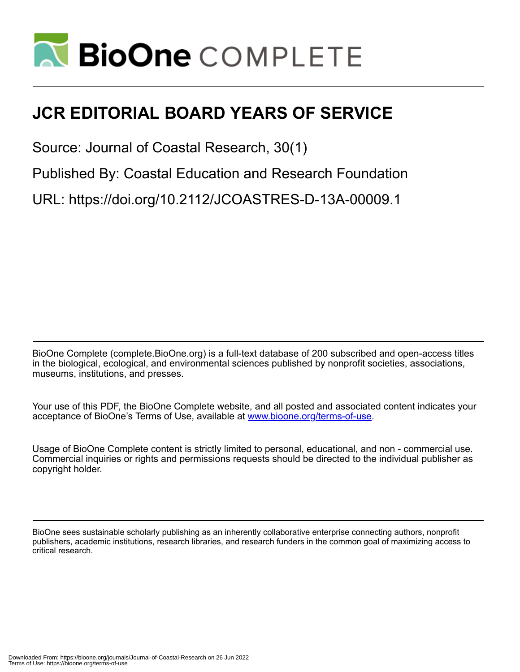

# **JCR EDITORIAL BOARD YEARS OF SERVICE**

Source: Journal of Coastal Research, 30(1)

Published By: Coastal Education and Research Foundation

URL: https://doi.org/10.2112/JCOASTRES-D-13A-00009.1

BioOne Complete (complete.BioOne.org) is a full-text database of 200 subscribed and open-access titles in the biological, ecological, and environmental sciences published by nonprofit societies, associations, museums, institutions, and presses.

Your use of this PDF, the BioOne Complete website, and all posted and associated content indicates your acceptance of BioOne's Terms of Use, available at www.bioone.org/terms-of-use.

Usage of BioOne Complete content is strictly limited to personal, educational, and non - commercial use. Commercial inquiries or rights and permissions requests should be directed to the individual publisher as copyright holder.

BioOne sees sustainable scholarly publishing as an inherently collaborative enterprise connecting authors, nonprofit publishers, academic institutions, research libraries, and research funders in the common goal of maximizing access to critical research.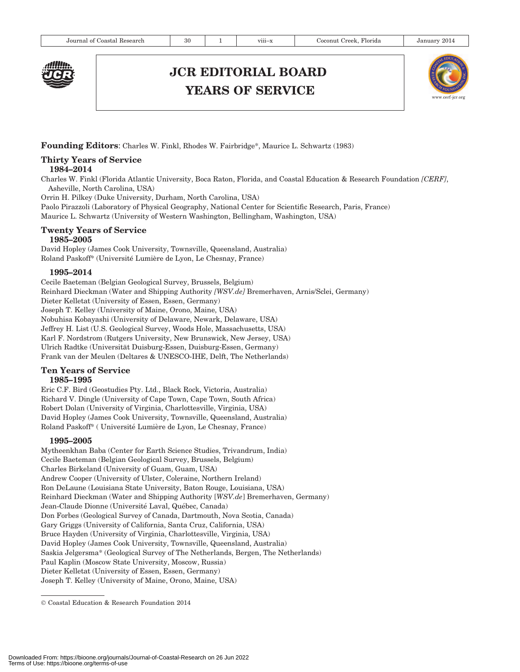

# JCR EDITORIAL BOARD YEARS OF SERVICE



Founding Editors: Charles W. Finkl, Rhodes W. Fairbridge\*, Maurice L. Schwartz (1983)

#### Thirty Years of Service 1984–2014

Charles W. Finkl (Florida Atlantic University, Boca Raton, Florida, and Coastal Education & Research Foundation [CERF], Asheville, North Carolina, USA)

Orrin H. Pilkey (Duke University, Durham, North Carolina, USA) Paolo Pirazzoli (Laboratory of Physical Geography, National Center for Scientific Research, Paris, France) Maurice L. Schwartz (University of Western Washington, Bellingham, Washington, USA)

#### Twenty Years of Service 1985–2005

David Hopley (James Cook University, Townsville, Queensland, Australia)

Roland Paskoff\* (Université Lumière de Lyon, Le Chesnay, France)

# 1995–2014

Cecile Baeteman (Belgian Geological Survey, Brussels, Belgium) Reinhard Dieckman (Water and Shipping Authority [WSV.de] Bremerhaven, Arnis/Sclei, Germany) Dieter Kelletat (University of Essen, Essen, Germany) Joseph T. Kelley (University of Maine, Orono, Maine, USA) Nobuhisa Kobayashi (University of Delaware, Newark, Delaware, USA) Jeffrey H. List (U.S. Geological Survey, Woods Hole, Massachusetts, USA) Karl F. Nordstrom (Rutgers University, New Brunswick, New Jersey, USA) Ulrich Radtke (Universitat Duisburg-Essen, Duisburg-Essen, Germany) ¨ Frank van der Meulen (Deltares & UNESCO-IHE, Delft, The Netherlands)

# Ten Years of Service 1985–1995

Eric C.F. Bird (Geostudies Pty. Ltd., Black Rock, Victoria, Australia) Richard V. Dingle (University of Cape Town, Cape Town, South Africa) Robert Dolan (University of Virginia, Charlottesville, Virginia, USA) David Hopley (James Cook University, Townsville, Queensland, Australia) Roland Paskoff\* ( Université Lumière de Lyon, Le Chesnay, France)

# 1995–2005

Mytheenkhan Baba (Center for Earth Science Studies, Trivandrum, India) Cecile Baeteman (Belgian Geological Survey, Brussels, Belgium) Charles Birkeland (University of Guam, Guam, USA) Andrew Cooper (University of Ulster, Coleraine, Northern Ireland) Ron DeLaune (Louisiana State University, Baton Rouge, Louisiana, USA) Reinhard Dieckman (Water and Shipping Authority [WSV.de] Bremerhaven, Germany) Jean-Claude Dionne (Université Laval, Québec, Canada) Don Forbes (Geological Survey of Canada, Dartmouth, Nova Scotia, Canada) Gary Griggs (University of California, Santa Cruz, California, USA) Bruce Hayden (University of Virginia, Charlottesville, Virginia, USA) David Hopley (James Cook University, Townsville, Queensland, Australia) Saskia Jelgersma\* (Geological Survey of The Netherlands, Bergen, The Netherlands) Paul Kaplin (Moscow State University, Moscow, Russia) Dieter Kelletat (University of Essen, Essen, Germany) Joseph T. Kelley (University of Maine, Orono, Maine, USA)

<sup>©</sup> Coastal Education & Research Foundation 2014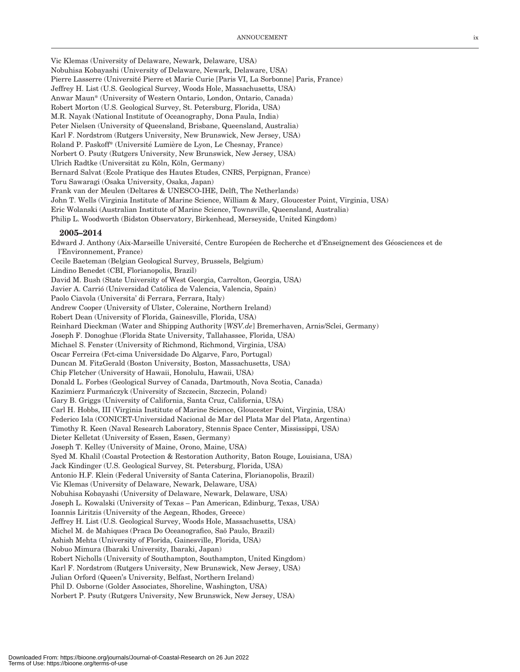Vic Klemas (University of Delaware, Newark, Delaware, USA) Nobuhisa Kobayashi (University of Delaware, Newark, Delaware, USA) Pierre Lasserre (Universite Pierre et Marie Curie [Paris VI, La Sorbonne] Paris, France) ´ Jeffrey H. List (U.S. Geological Survey, Woods Hole, Massachusetts, USA) Anwar Maun\* (University of Western Ontario, London, Ontario, Canada) Robert Morton (U.S. Geological Survey, St. Petersburg, Florida, USA) M.R. Nayak (National Institute of Oceanography, Dona Paula, India) Peter Nielsen (University of Queensland, Brisbane, Queensland, Australia) Karl F. Nordstrom (Rutgers University, New Brunswick, New Jersey, USA) Roland P. Paskoff\* (Université Lumière de Lyon, Le Chesnay, France) Norbert O. Psuty (Rutgers University, New Brunswick, New Jersey, USA) Ulrich Radtke (Universität zu Köln, Köln, Germany) Bernard Salvat (Ecole Pratique des Hautes Etudes, CNRS, Perpignan, France) Toru Sawaragi (Osaka University, Osaka, Japan) Frank van der Meulen (Deltares & UNESCO-IHE, Delft, The Netherlands) John T. Wells (Virginia Institute of Marine Science, William & Mary, Gloucester Point, Virginia, USA) Eric Wolanski (Australian Institute of Marine Science, Townsville, Queensland, Australia) Philip L. Woodworth (Bidston Observatory, Birkenhead, Merseyside, United Kingdom)

#### 2005–2014

Edward J. Anthony (Aix-Marseille Université, Centre Européen de Recherche et d'Enseignement des Géosciences et de l'Environnement, France) Cecile Baeteman (Belgian Geological Survey, Brussels, Belgium) Lindino Benedet (CBI, Florianopolis, Brazil) David M. Bush (State University of West Georgia, Carrolton, Georgia, USA) Javier A. Carrió (Universidad Católica de Valencia, Valencia, Spain) Paolo Ciavola (Universita' di Ferrara, Ferrara, Italy) Andrew Cooper (University of Ulster, Coleraine, Northern Ireland) Robert Dean (University of Florida, Gainesville, Florida, USA) Reinhard Dieckman (Water and Shipping Authority [WSV.de] Bremerhaven, Arnis/Sclei, Germany) Joseph F. Donoghue (Florida State University, Tallahassee, Florida, USA) Michael S. Fenster (University of Richmond, Richmond, Virginia, USA) Oscar Ferreira (Fct-cima Universidade Do Algarve, Faro, Portugal) Duncan M. FitzGerald (Boston University, Boston, Massachusetts, USA) Chip Fletcher (University of Hawaii, Honolulu, Hawaii, USA) Donald L. Forbes (Geological Survey of Canada, Dartmouth, Nova Scotia, Canada) Kazimierz Furmanczyk (University of Szczecin, Szczecin, Poland) ´ Gary B. Griggs (University of California, Santa Cruz, California, USA) Carl H. Hobbs, III (Virginia Institute of Marine Science, Gloucester Point, Virginia, USA) Federico Isla (CONICET-Universidad Nacional de Mar del Plata Mar del Plata, Argentina) Timothy R. Keen (Naval Research Laboratory, Stennis Space Center, Mississippi, USA) Dieter Kelletat (University of Essen, Essen, Germany) Joseph T. Kelley (University of Maine, Orono, Maine, USA) Syed M. Khalil (Coastal Protection & Restoration Authority, Baton Rouge, Louisiana, USA) Jack Kindinger (U.S. Geological Survey, St. Petersburg, Florida, USA) Antonio H.F. Klein (Federal University of Santa Caterina, Florianopolis, Brazil) Vic Klemas (University of Delaware, Newark, Delaware, USA) Nobuhisa Kobayashi (University of Delaware, Newark, Delaware, USA) Joseph L. Kowalski (University of Texas – Pan American, Edinburg, Texas, USA) Ioannis Liritzis (University of the Aegean, Rhodes, Greece) Jeffrey H. List (U.S. Geological Survey, Woods Hole, Massachusetts, USA) Michel M. de Mahiques (Praca Do Oceanografico, Saõ Paulo, Brazil) Ashish Mehta (University of Florida, Gainesville, Florida, USA) Nobuo Mimura (Ibaraki University, Ibaraki, Japan) Robert Nicholls (University of Southampton, Southampton, United Kingdom) Karl F. Nordstrom (Rutgers University, New Brunswick, New Jersey, USA) Julian Orford (Queen's University, Belfast, Northern Ireland) Phil D. Osborne (Golder Associates, Shoreline, Washington, USA) Norbert P. Psuty (Rutgers University, New Brunswick, New Jersey, USA)